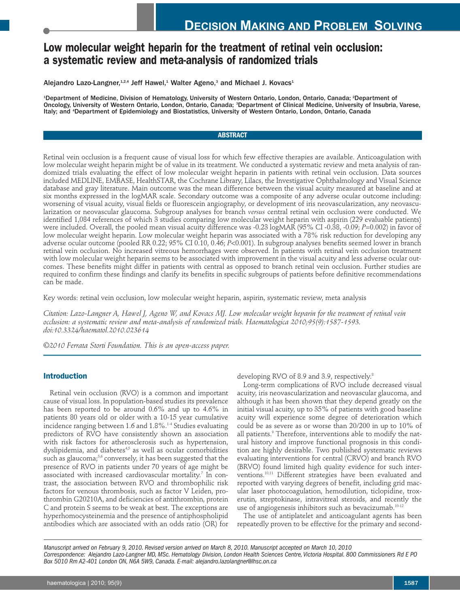# **Low molecular weight heparin for the treatment of retinal vein occlusion: a systematic review and meta-analysis of randomized trials**

Alejandro Lazo-Langner,<sup>1,2,4</sup> Jeff Hawel,<sup>1</sup> Walter Ageno,<sup>3</sup> and Michael J. Kovacs<sup>1</sup>

1 Department of Medicine, Division of Hematology, University of Western Ontario, London, Ontario, Canada; <sup>2</sup> Department of Oncology, University of Western Ontario, London, Ontario, Canada; <sup>3</sup>Department of Clinical Medicine, University of Insubria, Varese, Italy; and <sup>4</sup> Department of Epidemiology and Biostatistics, University of Western Ontario, London, Ontario, Canada

# **ABSTRACT**

Retinal vein occlusion is a frequent cause of visual loss for which few effective therapies are available. Anticoagulation with low molecular weight heparin might be of value in its treatment. We conducted a systematic review and meta analysis of randomized trials evaluating the effect of low molecular weight heparin in patients with retinal vein occlusion. Data sources included MEDLINE, EMBASE, HealthSTAR, the Cochrane Library, Lilacs, the Investigative Ophthalmology and Visual Science database and gray literature. Main outcome was the mean difference between the visual acuity measured at baseline and at six months expressed in the logMAR scale. Secondary outcome was a composite of any adverse ocular outcome including: worsening of visual acuity, visual fields or fluorescein angiography, or development of iris neovascularization, any neovascularization or neovascular glaucoma. Subgroup analyses for branch *versus* central retinal vein occlusion were conducted. We identified 1,084 references of which 3 studies comparing low molecular weight heparin with aspirin (229 evaluable patients) were included. Overall, the pooled mean visual acuity difference was -0.23 logMAR (95% CI -0.38, -0.09; *P*=0.002) in favor of low molecular weight heparin. Low molecular weight heparin was associated with a 78% risk reduction for developing any adverse ocular outcome (pooled RR 0.22; 95% CI 0.10, 0.46; *P*<0.001). In subgroup analyses benefits seemed lower in branch retinal vein occlusion. No increased vitreous hemorrhages were observed. In patients with retinal vein occlusion treatment with low molecular weight heparin seems to be associated with improvement in the visual acuity and less adverse ocular outcomes. These benefits might differ in patients with central as opposed to branch retinal vein occlusion. Further studies are required to confirm these findings and clarify its benefits in specific subgroups of patients before definitive recommendations can be made.

Key words: retinal vein occlusion, low molecular weight heparin, aspirin, systematic review, meta analysis

Citation: Lazo-Langner A, Hawel J, Ageno W, and Kovacs MJ. Low molecular weight heparin for the treatment of retinal vein *occlusion: a systematic review and meta-analysis of randomized trials. Haematologica 2010;95(9):1587-1593. doi:10.3324/haematol.2010.023614*

*©2010 Ferrata Storti Foundation. This is an open-access paper.*

# **Introduction**

Retinal vein occlusion (RVO) is a common and important cause of visual loss. In population-based studies its prevalence has been reported to be around 0.6% and up to 4.6% in patients 80 years old or older with a 10-15 year cumulative incidence ranging between 1.6 and 1.8%. 1-4 Studies evaluating predictors of RVO have consistently shown an association with risk factors for atherosclerosis such as hypertension, dyslipidemia, and diabetes<sup>4,5</sup> as well as ocular comorbidities such as glaucoma; 5,6 conversely, it has been suggested that the presence of RVO in patients under 70 years of age might be associated with increased cardiovascular mortality.<sup>7</sup> In contrast, the association between RVO and thrombophilic risk factors for venous thrombosis, such as factor V Leiden, prothrombin G20210A, and deficiencies of antithrombin, protein C and protein S seems to be weak at best. The exceptions are hyperhomocysteinemia and the presence of antiphospholipid antibodies which are associated with an odds ratio (OR) for

developing RVO of 8.9 and 3.9, respectively. 8

Long-term complications of RVO include decreased visual acuity, iris neovascularization and neovascular glaucoma, and although it has been shown that they depend greatly on the initial visual acuity, up to 35% of patients with good baseline acuity will experience some degree of deterioration which could be as severe as or worse than 20/200 in up to 10% of all patients. <sup>9</sup> Therefore, interventions able to modify the natural history and improve functional prognosis in this condition are highly desirable. Two published systematic reviews evaluating interventions for central (CRVO) and branch RVO (BRVO) found limited high quality evidence for such interventions. 10,11 Different strategies have been evaluated and reported with varying degrees of benefit, including grid macular laser photocoagulation, hemodilution, ticlopidine, troxerutin, streptokinase, intravitreal steroids, and recently the use of angiogenesis inhibitors such as bevacizumab.<sup>10-12</sup>

The use of antiplatelet and anticoagulant agents has been repeatedly proven to be effective for the primary and second-

Manuscript arrived on February 9, 2010. Revised version arrived on March 8, 2010. Manuscript accepted on March 10, 2010 Correspondence: Alejandro Lazo-Langner MD, MSc. Hematology Division, London Health Sciences Centre, Victoria Hospital. 800 Commissioners Rd E PO *Box 5010 Rm A2-401 London ON, N6A 5W9, Canada. E-mail: alejandro.lazolangner@lhsc.on.ca*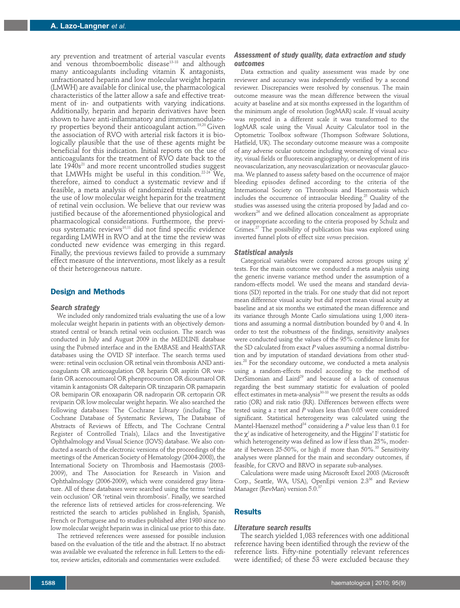ary prevention and treatment of arterial vascular events and venous thromboembolic disease<sup>13-18</sup> and although many anticoagulants including vitamin K antagonists, unfractionated heparin and low molecular weight heparin (LMWH) are available for clinical use, the pharmacological characteristics of the latter allow a safe and effective treatment of in- and outpatients with varying indications. Additionally, heparin and heparin derivatives have been shown to have anti-inflammatory and immunomodulatory properties beyond their anticoagulant action. 19,20 Given the association of RVO with arterial risk factors it is biologically plausible that the use of these agents might be beneficial for this indication. Initial reports on the use of anticoagulants for the treatment of RVO date back to the late  $1940s<sup>21</sup>$  and more recent uncontrolled studies suggest that LMWHs might be useful in this condition. 22-24 We, therefore, aimed to conduct a systematic review and if feasible, a meta analysis of randomized trials evaluating the use of low molecular weight heparin for the treatment of retinal vein occlusion. We believe that our review was justified because of the aforementioned physiological and pharmacological considerations. Furthermore, the previous systematic reviews<sup>10,11</sup> did not find specific evidence regarding LMWH in RVO and at the time the review was conducted new evidence was emerging in this regard. Finally, the previous reviews failed to provide a summary effect measure of the interventions, most likely as a result of their heterogeneous nature.

### **Design and Methods**

#### *Search strategy*

We included only randomized trials evaluating the use of a low molecular weight heparin in patients with an objectively demonstrated central or branch retinal vein occlusion. The search was conducted in July and August 2009 in the MEDLINE database using the Pubmed interface and in the EMBASE and HealthSTAR databases using the OVID SP interface. The search terms used were: retinal vein occlusion OR retinal vein thrombosis AND anticoagulants OR anticoagulation OR heparin OR aspirin OR warfarin OR acenocoumarol OR phenprocoumon OR dicoumarol OR vitamin k antagonists OR dalteparin OR tinzaparin OR parnaparin OR bemiparin OR enoxaparin OR nadroparin OR certoparin OR reviparin OR low molecular weight heparin. We also searched the following databases: The Cochrane Library (including The Cochrane Database of Systematic Reviews, The Database of Abstracts of Reviews of Effects, and The Cochrane Central Register of Controlled Trials), Lilacs and the Investigative Ophthalmology and Visual Science (IOVS) database. We also conducted a search of the electronic versions of the proceedings of the meetings of the American Society of Hematology (2004-2008), the International Society on Thrombosis and Haemostasis (2003- 2009), and The Association for Research in Vision and Ophthalmology (2006-2009), which were considered gray literature. All of these databases were searched using the terms 'retinal vein occlusion' OR 'retinal vein thrombosis'. Finally, we searched the reference lists of retrieved articles for cross-referencing. We restricted the search to articles published in English, Spanish, French or Portuguese and to studies published after 1980 since no low molecular weight heparin was in clinical use prior to this date.

The retrieved references were assessed for possible inclusion based on the evaluation of the title and the abstract. If no abstract was available we evaluated the reference in full. Letters to the editor, review articles, editorials and commentaries were excluded.

## *Assessment of study quality, data extraction and study outcomes*

Data extraction and quality assessment was made by one reviewer and accuracy was independently verified by a second reviewer. Discrepancies were resolved by consensus. The main outcome measure was the mean difference between the visual acuity at baseline and at six months expressed in the logarithm of the minimum angle of resolution (logMAR) scale. If visual acuity was reported in a different scale it was transformed to the logMAR scale using the Visual Acuity Calculator tool in the Optometric Toolbox software (Thompson Software Solutions, Hatfield, UK). The secondary outcome measure was a composite of any adverse ocular outcome including worsening of visual acuity, visual fields or fluorescein angiography, or development of iris neovascularization, any neovascularization or neovascular glaucoma. We planned to assess safety based on the occurrence of major bleeding episodes defined according to the criteria of the International Society on Thrombosis and Haemostasis which includes the occurrence of intraocular bleeding. <sup>25</sup> Quality of the studies was assessed using the criteria proposed by Jadad and coworkers <sup>26</sup> and we defined allocation concealment as appropriate or inappropriate according to the criteria proposed by Schulz and Grimes. <sup>27</sup> The possibility of publication bias was explored using inverted funnel plots of effect size *versus* precision.

#### *Statistical analysis*

Categorical variables were compared across groups using  $\chi^2$ tests. For the main outcome we conducted a meta analysis using the generic inverse variance method under the assumption of a random-effects model. We used the means and standard deviations (SD) reported in the trials. For one study that did not report mean difference visual acuity but did report mean visual acuity at baseline and at six months we estimated the mean difference and its variance through Monte Carlo simulations using 1,000 iterations and assuming a normal distribution bounded by 0 and 4. In order to test the robustness of the findings, sensitivity analyses were conducted using the values of the 95% confidence limits for the SD calculated from exact *P* values assuming a normal distribution and by imputation of standard deviations from other studies.<sup>28</sup> For the secondary outcome, we conducted a meta analysis using a random-effects model according to the method of DerSimonian and Laird<sup>29</sup> and because of a lack of consensus regarding the best summary statistic for evaluation of pooled effect estimates in meta-analysis<sup>30.33</sup> we present the results as odds ratio (OR) and risk ratio (RR). Differences between effects were tested using a *z* test and *P* values less than 0.05 were considered significant. Statistical heterogeneity was calculated using the Mantel-Haenszel method<sup>34</sup> considering a P value less than 0.1 for the  $\chi^{\scriptscriptstyle 2}$  as indicative of heterogeneity, and the Higgins' I $^{\scriptscriptstyle 2}$  statistic for which heterogeneity was defined as low if less than 25%, moderate if between 25-50%, or high if more than 50%. <sup>35</sup> Sensitivity analyses were planned for the main and secondary outcomes, if feasible, for CRVO and BRVO in separate sub-analyses.

Calculations were made using Microsoft Excel 2003 (Microsoft Corp., Seattle, WA, USA), OpenEpi version 2.3<sup>36</sup> and Review Manager (RevMan) version 5.0. 37

## **Results**

#### *Literature search results*

The search yielded 1,083 references with one additional reference having been identified through the review of the reference lists. Fifty-nine potentially relevant references were identified; of these 53 were excluded because they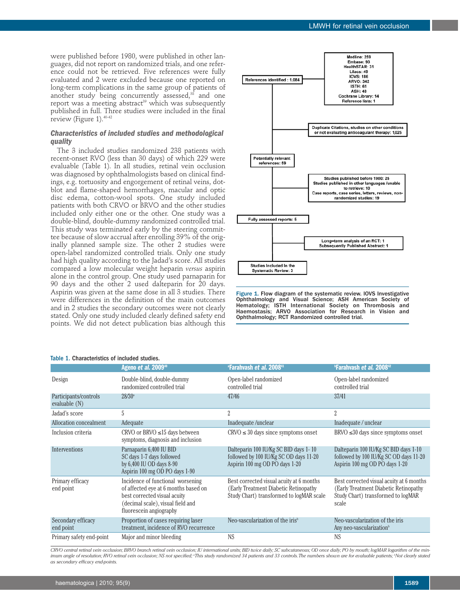were published before 1980, were published in other languages, did not report on randomized trials, and one reference could not be retrieved. Five references were fully evaluated and 2 were excluded because one reported on long-term complications in the same group of patients of another study being concurrently assessed, <sup>38</sup> and one report was a meeting abstract <sup>39</sup> which was subsequently published in full. Three studies were included in the final review (Figure 1). 40-42

# *Characteristics of included studies and methodological quality*

The 3 included studies randomized 238 patients with recent-onset RVO (less than 30 days) of which 229 were evaluable (Table 1). In all studies, retinal vein occlusion was diagnosed by ophthalmologists based on clinical findings, e.g. tortuosity and engorgement of retinal veins, dotblot and flame-shaped hemorrhages, macular and optic disc edema, cotton-wool spots. One study included patients with both CRVO or BRVO and the other studies included only either one or the other. One study was a double-blind, double-dummy randomized controlled trial. This study was terminated early by the steering committee because of slow accrual after enrolling 39% of the originally planned sample size. The other 2 studies were open-label randomized controlled trials. Only one study had high quality according to the Jadad's score. All studies compared a low molecular weight heparin *versus* aspirin alone in the control group. One study used parnaparin for 90 days and the other 2 used dalteparin for 20 days. Aspirin was given at the same dose in all 3 studies. There were differences in the definition of the main outcomes and in 2 studies the secondary outcomes were not clearly stated. Only one study included clearly defined safety end points. We did not detect publication bias although this



Figure 1. Flow diagram of the systematic review. IOVS Investigative Ophthalmology and Visual Science; ASH American Society of Hematology; ISTH International Society on Thrombosis and Haemostasis; ARVO Association for Research in Vision and Ophthalmology; RCT Randomized controlled trial.

|                                          | Ageno et al. 2009 <sup>40</sup>                                                                                                                                           | <sup>a</sup> Farahvash et al. 2008 <sup>41</sup>                                                                              | <b><i><b>Farahvash et al. 2008</b></i><sup>42</sup></b>                                                                           |
|------------------------------------------|---------------------------------------------------------------------------------------------------------------------------------------------------------------------------|-------------------------------------------------------------------------------------------------------------------------------|-----------------------------------------------------------------------------------------------------------------------------------|
| Design                                   | Double-blind, double-dummy<br>randomized controlled trial                                                                                                                 | Open-label randomized<br>controlled trial                                                                                     | Open-label randomized<br>controlled trial                                                                                         |
| Participants/controls<br>evaluable $(N)$ | $28/30$ <sup>a</sup>                                                                                                                                                      | 47/46                                                                                                                         | 37/41                                                                                                                             |
| Jadad's score                            | 5                                                                                                                                                                         | $\overline{2}$                                                                                                                | $\overline{2}$                                                                                                                    |
| Allocation concealment                   | Adequate                                                                                                                                                                  | Inadequate/unclear                                                                                                            | Inadequate / unclear                                                                                                              |
| Inclusion criteria                       | CRVO or BRVO $\leq 15$ days between<br>symptoms, diagnosis and inclusion                                                                                                  | $CRVO \leq 30$ days since symptoms onset                                                                                      | $BRVO \leq 30$ days since symptoms onset                                                                                          |
| Interventions                            | Parnaparin 6,400 IU BID<br>SC days 1-7 days followed<br>by 6,400 IU OD days 8-90<br>Aspirin 100 mg OD PO days 1-90                                                        | Dalteparin 100 IU/Kg SC BID days 1-10<br>followed by 100 IU/Kg SC OD days 11-20<br>Aspirin 100 mg OD PO days 1-20             | Dalteparin 100 IU/Kg SC BID days 1-10<br>followed by 100 IU/Kg SC OD days 11-20<br>Aspirin 100 mg OD PO days 1-20                 |
| Primary efficacy<br>end point            | Incidence of functional worsening<br>of affected eye at 6 months based on<br>best corrected visual acuity<br>(decimal scale), visual field and<br>fluorescein angiography | Best corrected visual acuity at 6 months<br>(Early Treatment Diabetic Retinopathy<br>Study Chart) transformed to logMAR scale | Best corrected visual acuity at 6 months<br>(Early Treatment Diabetic Retinopathy)<br>Study Chart) transformed to logMAR<br>scale |
| Secondary efficacy<br>end point          | Proportion of cases requiring laser<br>treatment, incidence of RVO recurrence                                                                                             | Neo-vascularization of the iris <sup>b</sup>                                                                                  | Neo-vascularization of the iris<br>Any neo-vascularization <sup>b</sup>                                                           |
| Primary safety end-point                 | Major and minor bleeding                                                                                                                                                  | <b>NS</b>                                                                                                                     | <b>NS</b>                                                                                                                         |

Table 1. Characteristics of included studies.

CRVO central retinal vein occlusion: BRVO branch retinal vein occlusion: Il international units: BID twice daily: SC subcutaneous: OD once daily: PO by mouth: logMAR logarithm of the minimum angle of resolution; RVO retinal vein occlusion; NS not specified; "This study randomized 34 patients and 33 controls.The numbers shown are for evaluable patients; "Not clearly stated *as secondary efficacy end-points.*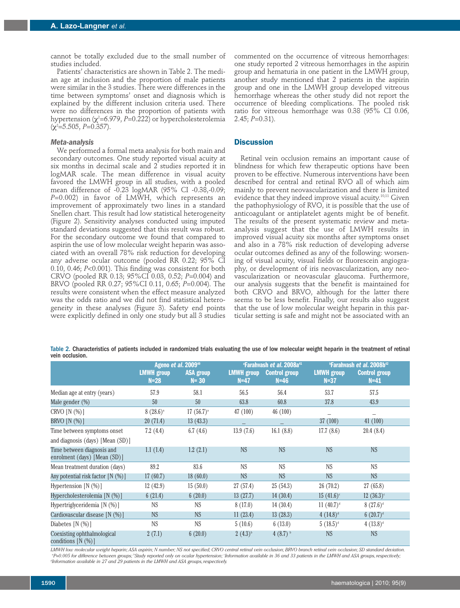cannot be totally excluded due to the small number of studies included.

Patients' characteristics are shown in Table 2. The median age at inclusion and the proportion of male patients were similar in the 3 studies. There were differences in the time between symptoms' onset and diagnosis which is explained by the different inclusion criteria used. There were no differences in the proportion of patients with hypertension (χ²=6.979, *P*=0.222) or hypercholesterolemia (χ<sup>2</sup> =5.505, *P*=0.357).

#### *Meta-analysis*

We performed a formal meta analysis for both main and secondary outcomes. One study reported visual acuity at six months in decimal scale and 2 studies reported it in logMAR scale. The mean difference in visual acuity favored the LMWH group in all studies, with a pooled mean difference of -0.23 logMAR (95% CI -0.38,-0.09; *P*=0.002) in favor of LMWH, which represents an improvement of approximately two lines in a standard Snellen chart. This result had low statistical heterogeneity (Figure 2). Sensitivity analyses conducted using imputed standard deviations suggested that this result was robust. For the secondary outcome we found that compared to aspirin the use of low molecular weight heparin was associated with an overall 78% risk reduction for developing any adverse ocular outcome (pooled RR 0.22; 95% CI 0.10, 0.46; *P*<0.001). This finding was consistent for both CRVO (pooled RR 0.13; 95%CI 0.03, 0.52; *P*=0.004) and BRVO (pooled RR 0.27; 95%CI 0.11, 0.65; *P*=0.004). The results were consistent when the effect measure analyzed was the odds ratio and we did not find statistical heterogeneity in these analyses (Figure 3). Safety end points were explicitly defined in only one study but all 3 studies

commented on the occurrence of vitreous hemorrhages: one study reported 2 vitreous hemorrhages in the aspirin group and hematuria in one patient in the LMWH group, another study mentioned that 2 patients in the aspirin group and one in the LMWH group developed vitreous hemorrhage whereas the other study did not report the occurrence of bleeding complications. The pooled risk ratio for vitreous hemorrhage was 0.38 (95% CI 0.06,  $2.45: P=0.31$ .

# **Discussion**

Retinal vein occlusion remains an important cause of blindness for which few therapeutic options have been proven to be effective. Numerous interventions have been described for central and retinal RVO all of which aim mainly to prevent neovascularization and there is limited evidence that they indeed improve visual acuity. 10,11 Given the pathophysiology of RVO, it is possible that the use of anticoagulant or antiplatelet agents might be of benefit. The results of the present systematic review and metaanalysis suggest that the use of LMWH results in improved visual acuity six months after symptoms onset and also in a 78% risk reduction of developing adverse ocular outcomes defined as any of the following: worsening of visual acuity, visual fields or fluorescein angiography, or development of iris neovascularization, any neovascularization or neovascular glaucoma. Furthermore, our analysis suggests that the benefit is maintained for both CRVO and BRVO, although for the latter there seems to be less benefit. Finally, our results also suggest that the use of low molecular weight heparin in this particular setting is safe and might not be associated with an

Table 2. Characteristics of patients included in randomized trials evaluating the use of low molecular weight heparin in the treatment of retinal vein occlusion.

|                                                            | Ageno et al. 2009 <sup>40</sup> |                              |                             | <b><i><b>*Farahvash et al. 2008a</b></i><sup>41</sup></b> |                             | <b>"Farahvash et al. 2008b</b> <sup>42</sup> |
|------------------------------------------------------------|---------------------------------|------------------------------|-----------------------------|-----------------------------------------------------------|-----------------------------|----------------------------------------------|
|                                                            | <b>LMWH</b> group<br>$N=28$     | <b>ASA group</b><br>$N = 30$ | <b>LMWH</b> group<br>$N=47$ | <b>Control group</b><br>$N=46$                            | <b>LMWH</b> group<br>$N=37$ | <b>Control group</b><br>$N=41$               |
| Median age at entry (years)                                | 57.9                            | 58.1                         | 56.5                        | 56.4                                                      | 53.7                        | 57.5                                         |
| Male gender (%)                                            | 50                              | 50                           | 63.8                        | 60.8                                                      | 37.8                        | 43.9                                         |
| CRVO [N (%)]                                               | $8(28.6)$ <sup>a</sup>          | $17(56.7)$ <sup>a</sup>      | 47 (100)                    | 46(100)                                                   |                             |                                              |
| BRVO [N (%)]                                               | 20(71.4)                        | 13(43.3)                     |                             |                                                           | 37(100)                     | 41(100)                                      |
| Time between symptoms onset                                | 7.2(4.4)                        | 6.7(4.6)                     | 13.9(7.6)                   | 16.1(8.8)                                                 | 17.7(8.6)                   | 20.4(8.4)                                    |
| and diagnosis (days) [Mean $(SD)$ ]                        |                                 |                              |                             |                                                           |                             |                                              |
| Time between diagnosis and<br>enrolment (days) [Mean (SD)] | 1.1(1.4)                        | 1.2(2.1)                     | <b>NS</b>                   | <b>NS</b>                                                 | <b>NS</b>                   | <b>NS</b>                                    |
| Mean treatment duration (days)                             | 89.2                            | 83.6                         | <b>NS</b>                   | <b>NS</b>                                                 | <b>NS</b>                   | <b>NS</b>                                    |
| Any potential risk factor $[N(\%)]$                        | 17(60.7)                        | 18(60.0)                     | <b>NS</b>                   | <b>NS</b>                                                 | <b>NS</b>                   | <b>NS</b>                                    |
| Hypertension $[N(\%)]$                                     | 12(42.9)                        | 15(50.0)                     | 27(57.4)                    | 25(54.3)                                                  | 26(70.2)                    | 27(65.8)                                     |
| Hypercholesterolemia [N (%)]                               | 6(21.4)                         | 6(20.0)                      | 13(27.7)                    | 14(30.4)                                                  | $15(41.6)$ <sup>c</sup>     | $12 (36.3)^c$                                |
| Hypertriglyceridemia [N (%)]                               | <b>NS</b>                       | <b>NS</b>                    | 8(17.0)                     | 14(30.4)                                                  | 11 $(40.7)$ <sup>d</sup>    | $8(27.6)$ <sup>d</sup>                       |
| Cardiovascular disease [N (%)]                             | <b>NS</b>                       | <b>NS</b>                    | 11(23.4)                    | 13(28.3)                                                  | $4(14.8)^d$                 | $6(20.7)$ <sup>d</sup>                       |
| Diabetes $[N(\%)]$                                         | <b>NS</b>                       | <b>NS</b>                    | 5(10.6)                     | 6(13.0)                                                   | $5(18.5)^d$                 | $4(13.8)^d$                                  |
| Coexisting ophthalmological<br>conditions $[N(\%)]$        | 2(7.1)                          | 6(20.0)                      | $2(4.3)^{b}$                | 4(8.7)                                                    | <b>NS</b>                   | <b>NS</b>                                    |

LMWH low molecular weight heparin; ASA aspirin; N number; NS not specified; CRVO central retinal vein occlusion; BRVO branch retinal vein occlusion; SD standard deviation. "P=0.005 for difference between groups; "Study reported only on ocular hypertension; 'Information available in 36 and 33 patients in the LMWH and ASA groups, respectively; *d Information available in 27 and 29 patients in the LMWH and ASA groups,respectively.*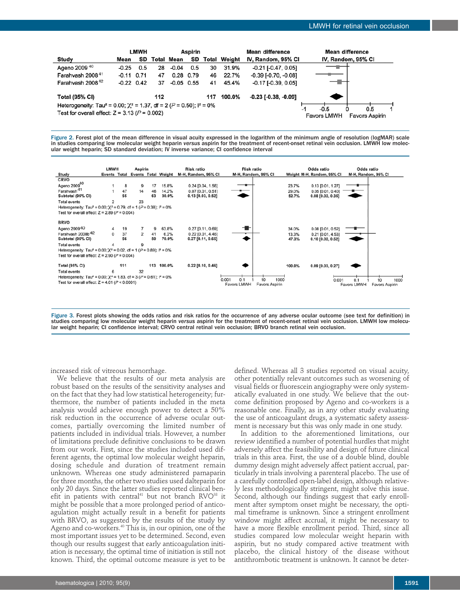|                                                                                                            |              | <b>LMWH</b><br><b>Aspirin</b> |     |                   | <b>Mean difference</b> |     | <b>Mean difference</b> |                               |                                             |  |
|------------------------------------------------------------------------------------------------------------|--------------|-------------------------------|-----|-------------------|------------------------|-----|------------------------|-------------------------------|---------------------------------------------|--|
| Study                                                                                                      | Mean         | SD                            |     | <b>Total Mean</b> | SD                     |     | <b>Total Weight</b>    | IV, Random, 95% CI            | IV, Random, 95% CI                          |  |
| Ageno 2009 <sup>40</sup>                                                                                   | $-0.25$      | 0.5                           | 28  | $-0.04$           | 0.5                    | 30  | 31.9%                  | $-0.21$ [ $-0.47, 0.05$ ]     |                                             |  |
| Farahvash 2008 <sup>41</sup>                                                                               | $-0.11$ 0.71 |                               | 47  |                   | $0.28$ 0.79            | 46  | 22.7%                  | $-0.39$ [ $-0.70$ , $-0.08$ ] |                                             |  |
| Farahvash 2008 <sup>42</sup>                                                                               | $-0.22$ 0.42 |                               | 37  | $-0.05$ 0.55      |                        | 41  | 45.4%                  | $-0.17$ $[-0.39, 0.05]$       |                                             |  |
| <b>Total (95% CI)</b>                                                                                      |              |                               | 112 |                   |                        | 117 | 100.0%                 | $-0.23$ [ $-0.38$ , $-0.09$ ] |                                             |  |
| Heterogeneity: Tau <sup>2</sup> = 0.00; $\chi$ <sup>2</sup> = 1.37, df = 2 (P = 0.50); l <sup>2</sup> = 0% |              |                               |     |                   |                        |     |                        |                               | $-0.5$<br>0.5<br>÷                          |  |
| Test for overall effect: $Z = 3.13$ ( $P = 0.002$ )                                                        |              |                               |     |                   |                        |     |                        |                               | <b>Favors LMWH</b><br><b>Favors Aspirin</b> |  |

Figure 2. Forest plot of the mean difference in visual acuity expressed in the logarithm of the minimum angle of resolution (logMAR) scale in studies comparing low molecular weight heparin *versus* aspirin for the treatment of recent-onset retinal vein occlusion. LMWH low molecular weight heparin; SD standard deviation; IV inverse variance; CI confidence interval

|                                                                                                            | <b>LMWH</b><br>Aspirin |     | <b>Risk ratio</b> | <b>Risk ratio</b> | Odds ratio                 |                     | Odds ratio                    |        |                            |                     |                |
|------------------------------------------------------------------------------------------------------------|------------------------|-----|-------------------|-------------------|----------------------------|---------------------|-------------------------------|--------|----------------------------|---------------------|----------------|
| Study                                                                                                      | Events Total           |     |                   |                   | <b>Events Total Weight</b> | M-H, Random, 95% Cl | M-H, Random, 95% CI           |        | Weight M-H, Random, 95% Cl | M-H, Random, 95% CI |                |
| <b>CRVO</b>                                                                                                |                        |     |                   |                   |                            |                     |                               |        |                            |                     |                |
| Ageno 2009 <sup>40</sup>                                                                                   |                        | 8   | 9                 | 17                | 15.8%                      | $0.24$ [0.04, 1.56] |                               | 23.7%  | $0.13$ [0.01, 1.27]        |                     |                |
| Farahvash <sup>41</sup>                                                                                    |                        | 47  | 14                | 46                | 14.2%                      | 0.07 [0.01, 0.51]   |                               | 29.0%  | 0.05 [0.01, 0.40]          |                     |                |
| Subtotal (95% CI)                                                                                          |                        | 55  |                   | 63                | 30.0%                      | $0.13$ [0.03, 0.52] |                               | 52.7%  | $0.08$ [0.02, 0.35]        |                     |                |
| <b>Total events</b>                                                                                        | 2                      |     | 23                |                   |                            |                     |                               |        |                            |                     |                |
| Heterogeneity: Tau <sup>2</sup> = 0.00; $\chi$ <sup>2</sup> = 0.79, df = 1 (P = 0.38); l <sup>2</sup> = 0% |                        |     |                   |                   |                            |                     |                               |        |                            |                     |                |
| Test for overall effect: $Z = 2.89$ ( $P = 0.004$ )                                                        |                        |     |                   |                   |                            |                     |                               |        |                            |                     |                |
|                                                                                                            |                        |     |                   |                   |                            |                     |                               |        |                            |                     |                |
| <b>BRVO</b>                                                                                                |                        |     |                   |                   |                            |                     |                               |        |                            |                     |                |
| Ageno 200940                                                                                               |                        | 19  |                   | 9                 | 63.8%                      | 0.27 [0.11, 0.69]   |                               | 34.0%  | 0.08 [0.01, 0.52]          |                     |                |
| Farahvash 2008b <sup>42</sup>                                                                              | $\Omega$               | 37  | $\overline{2}$    | 41                | 6.2%                       | $0.22$ [0.01, 4.46] |                               | 13.3%  | 0.21 [0.01, 4.53]          |                     |                |
| Subtotal (95% CI)                                                                                          |                        | 56  |                   | 50                | 70.0%                      | $0.27$ [0.11, 0.65] |                               | 47.3%  | $0.10$ [0.02, 0.52]        |                     |                |
| <b>Total events</b>                                                                                        |                        |     | 9                 |                   |                            |                     |                               |        |                            |                     |                |
| Heterogeneity: Tau <sup>2</sup> = 0.00; $\chi$ <sup>2</sup> = 0.02, df = 1 ( $P$ = 0.89); $I^2$ = 0%       |                        |     |                   |                   |                            |                     |                               |        |                            |                     |                |
| Test for overall effect: $Z = 2.90$ ( $P = 0.004$ )                                                        |                        |     |                   |                   |                            |                     |                               |        |                            |                     |                |
|                                                                                                            |                        |     |                   |                   |                            |                     |                               |        |                            |                     |                |
| <b>Total (95% CI)</b>                                                                                      |                        | 111 |                   | 113               | 100.0%                     | $0.22$ [0.10, 0.46] |                               | 100.0% | $0.09$ [0.03, 0.27]        |                     |                |
| <b>Total events</b>                                                                                        | 6                      |     | 32                |                   |                            |                     |                               |        |                            |                     |                |
| Heterogeneity: Tau <sup>2</sup> = 0.00; $\chi$ <sup>2</sup> = 1.83, df = 3 (P = 0.61); l <sup>2</sup> = 0% |                        |     |                   |                   |                            |                     |                               |        |                            |                     |                |
| Test for overall effect: $Z = 4.01$ ( $P < 0.0001$ )                                                       |                        |     |                   |                   |                            |                     | 0.001<br>0.1<br>1000<br>10    |        | 0.001                      | 0.1                 | 1000<br>10     |
|                                                                                                            |                        |     |                   |                   |                            |                     | Favors LMWH<br>Favors Aspirin |        |                            | Favors LMWH         | Favors Aspirin |
|                                                                                                            |                        |     |                   |                   |                            |                     |                               |        |                            |                     |                |

Figure 3. Forest plots showing the odds ratios and risk ratios for the occurrence of any adverse ocular outcome (see text for definition) in studies comparing low molecular weight heparin *versus* aspirin for the treatment of recent-onset retinal vein occlusion. LMWH low molecular weight heparin; CI confidence interval; CRVO central retinal vein occlusion; BRVO branch retinal vein occlusion.

increased risk of vitreous hemorrhage.

We believe that the results of our meta analysis are robust based on the results of the sensitivity analyses and on the fact that they had low statistical heterogeneity; furthermore, the number of patients included in the meta analysis would achieve enough power to detect a 50% risk reduction in the occurrence of adverse ocular outcomes, partially overcoming the limited number of patients included in individual trials. However, a number of limitations preclude definitive conclusions to be drawn from our work. First, since the studies included used different agents, the optimal low molecular weight heparin, dosing schedule and duration of treatment remain unknown. Whereas one study administered parnaparin for three months, the other two studies used dalteparin for only 20 days. Since the latter studies reported clinical benefit in patients with central $^{41}$  but not branch  $\rm RVO^{38}$  it might be possible that a more prolonged period of anticoagulation might actually result in a benefit for patients with BRVO, as suggested by the results of the study by Ageno and co-workers. <sup>40</sup> This is, in our opinion, one of the most important issues yet to be determined. Second, even though our results suggest that early anticoagulation initiation is necessary, the optimal time of initiation is still not known. Third, the optimal outcome measure is yet to be

defined. Whereas all 3 studies reported on visual acuity, other potentially relevant outcomes such as worsening of visual fields or fluorescein angiography were only systematically evaluated in one study. We believe that the outcome definition proposed by Ageno and co-workers is a reasonable one. Finally, as in any other study evaluating the use of anticoagulant drugs, a systematic safety assessment is necessary but this was only made in one study.

In addition to the aforementioned limitations, our review identified a number of potential hurdles that might adversely affect the feasibility and design of future clinical trials in this area. First, the use of a double blind, double dummy design might adversely affect patient accrual, particularly in trials involving a parenteral placebo. The use of a carefully controlled open-label design, although relatively less methodologically stringent, might solve this issue. Second, although our findings suggest that early enrollment after symptom onset might be necessary, the optimal timeframe is unknown. Since a stringent enrollment window might affect accrual, it might be necessary to have a more flexible enrollment period. Third, since all studies compared low molecular weight heparin with aspirin, but no study compared active treatment with placebo, the clinical history of the disease without antithrombotic treatment is unknown. It cannot be deter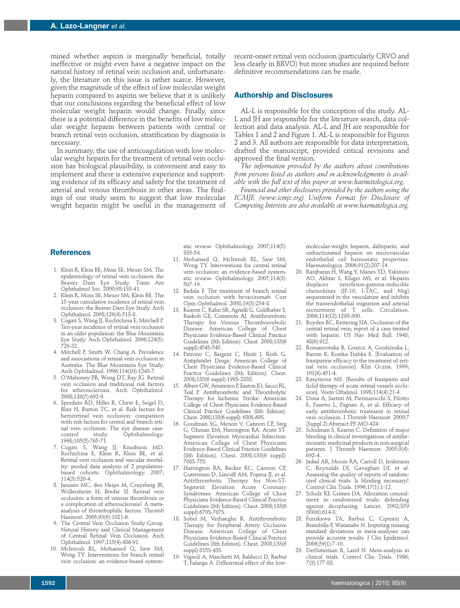mined whether aspirin is marginally beneficial, totally ineffective or might even have a negative impact on the natural history of retinal vein occlusion and, unfortunately, the literature on this issue is rather scarce. However, given the magnitude of the effect of low molecular weight heparin compared to aspirin we believe that it is unlikely that our conclusions regarding the beneficial effect of low molecular weight heparin would change. Finally, since there is a potential difference in the benefits of low molecular weight heparin between patients with central or branch retinal vein occlusion, stratification by diagnosis is necessary.

In summary, the use of anticoagulation with low molecular weight heparin for the treatment of retinal vein occlusion has biological plausibility, is convenient and easy to implement and there is extensive experience and supporting evidence of its efficacy and safety for the treatment of arterial and venous thrombosis in other areas. The findings of our study seem to suggest that low molecular weight heparin might be useful in the management of

recent-onset retinal vein occlusion (particularly CRVO and less clearly in BRVO) but more studies are required before definitive recommendations can be made.

## **Authorship and Disclosures**

AL-L is responsible for the conception of the study. AL-L and JH are responsible for the literature search, data collection and data analysis. AL-L and JH are responsible for Tables 1 and 2 and Figure 1. AL-L is responsible for Figures 2 and 3. All authors are responsible for data interpretation, drafted the manuscript, provided critical revisions and approved the final version.

*The information provided by the authors about contributions from persons listed as authors and in acknowledgments is available with the full text of this paper at www.haematologica.org.*

*Financial and other disclosures provided by the authors using the ICMJE (www.icmje.org) Uniform Format for Disclosure of Competing Interests are also available at www.haematologica.org.*

### **References**

- 1. Klein R, Klein BE, Moss SE, Meuer SM. The epidemiology of retinal vein occlusion: the Beaver Dam Eye Study. Trans Am Ophthalmol Soc. 2000;98:133-41.
- 2. Klein R, Moss SE, Meuer SM, Klein BE. The 15-year cumulative incidence of retinal vein occlusion: the Beaver Dam Eye Study. Arch Ophthalmol. 2008;126(4):513-8.
- 3. Cugati S, Wang JJ, Rochtchina E, Mitchell P. Ten-year incidence of retinal vein occlusion in an older population: the Blue Mountains Eye Study. Arch Ophthalmol. 2006;124(5): 726-32.
- 4. Mitchell P, Smith W, Chang A. Prevalence and associations of retinal vein occlusion in Australia. The Blue Mountains Eye Study. Arch Ophthalmol. 1996;114(10):1243-7.
- 5. O'Mahoney PR, Wong DT, Ray JG. Retinal vein occlusion and traditional risk factors for atherosclerosis. Arch Ophthalmol. 2008;126(5):692-9.
- 6. Sperduto RD, Hiller R, Chew E, Seigel D, Blair N, Burton TC, et al. Risk factors for hemiretinal vein occlusion: comparison with risk factors for central and branch retinal vein occlusion: The eye disease casecontrol study. Ophthalmology. 1998;105(5):765-71.
- 7. Cugati S, Wang JJ, Knudtson MD, Rochtchina E, Klein R, Klein BE, et al. Retinal vein occlusion and vascular mortality: pooled data analysis of 2 populationbased cohorts. Ophthalmology. 2007; 114(3):520-4.
- 8. Janssen MC, den Heijer M, Cruysberg JR, Wollersheim H, Bredie SJ. Retinal vein occlusion: a form of venous thrombosis or a complication of atherosclerosis? A metaanalysis of thrombophilic factors. Thromb Haemost. 2005;93(6):1021-6.
- 9. The Central Vein Occlusion Study Group. Natural History and Clinical Management of Central Retinal Vein Occlusion. Arch Ophthalmol. 1997;115(4):486-91.
- 10. McIntosh RL, Mohamed Q, Saw SM, Wong TY. Interventions for branch retinal vein occlusion: an evidence-based system-

atic review. Ophthalmology. 2007;114(5): 835-54.

- 11. Mohamed Q, McIntosh RL, Saw SM, Wong TY. Interventions for central retinal vein occlusion: an evidence-based systematic review. Ophthalmology. 2007;114(3): 507-19.
- 12. Badala F. The treatment of branch retinal vein occlusion with bevacizumab. Curr Opin Ophthalmol. 2008;19(3):234-8.
- 13. Kearon C, Kahn SR, Agnelli G, Goldhaber S, Raskob GE, Comerota AJ. Antithrombotic Therapy for Venous Thromboembolic Disease: American College of Chest Physicians Evidence-Based Clinical Practice Guidelines (8th Edition). Chest. 2008;133(6 suppl):454S-545.
- 14. Patrono C, Baigent C, Hirsh J, Roth G. Antiplatelet Drugs: American College of Chest Physicians Evidence-Based Clinical Practice Guidelines (8th Edition). Chest. 2008;133(6 suppl):199S-233S.
- 15. Albers GW, Amarenco P, Easton JD, Sacco RL, Teal P. Antithrombotic and Thrombolytic Therapy for Ischemic Stroke: American College of Chest Physicians Evidence-Based Clinical Practice Guidelines (8th Edition). Chest. 2008;133(6 suppl): 630S-69S.
- 16. Goodman SG, Menon V, Cannon CP, Steg G, Ohman EM, Harrington RA. Acute ST-Segment Elevation Myocardial Infarction: American College of Chest Physicians Evidence-Based Clinical Practice Guidelines (8th Edition). Chest. 2008;133(6 suppl): 708S-75S.
- 17. Harrington RA, Becker RC, Cannon CP, Gutterman D, Lincoff AM, Popma JJ, et al. Antithrombotic Therapy for Non-ST-Segment Elevation Acute Coronary Syndromes: American College of Chest Physicians Evidence-Based Clinical Practice Guidelines (8th Edition). Chest. 2008;133(6 suppl):670S-707S.
- 18. Sobel M, Verhaeghe R. Antithrombotic Therapy for Peripheral Artery Occlusive Disease: American College of Chest Physicians Evidence-Based Clinical Practice Guidelines (8th Edition). Chest. 2008;133(6 suppl):815S-43S.
- 19. Vignoli A, Marchetti M, Balducci D, Barbui T, Falanga A. Differential effect of the low-

molecular-weight heparin, dalteparin, and unfractionated heparin on microvascular endothelial cell hemostatic properties. Haematologica. 2006;91(2):207-14.

- 20. Ranjbaran H, Wang Y, Manes TD, Yakimov AO, Akhtar S, Kluger MS, et al. Heparin displaces interferon-gamma-inducible chemokines (IP-10, I-TAC, and Mig) sequestered in the vasculature and inhibits the transendothelial migration and arterial recruitment of T cells. Circulation. 2006;114(12):1293-300.
- 21. Boyden RC, Kettering HA. Occlusion of the central retinal vein; report of a case treated with heparin. US Nav Med Bull. 1948; 48(6):912.
- 22. Romanowska B, Goszcz A, Grodzinska L, Bieron K, Kostka-Trabka E. [Evaluation of fraxiparine efficacy in the treatment of retinal vein occlusion]. Klin Oczna. 1999; 101(6):451-4.
- 23. Kasymova MS. [Results of fraxiparin and ticlid therapy of acute retinal vessels occlusion]. Vestn Oftalmol. 1998;114(4):21-4.
- 24. Dona A, Sartori M, Piermarocchi S, Pilotto E, Pasetto L, Pagnan A, et al. Efficacy of early antithrombotic treatment in retinal vein occlusion. J Thromb Haemost. 2009;7 (Suppl 2):Abstract PP-MO-424.
- 25. Schulman S, Kearon C. Definition of major bleeding in clinical investigations of antihemostatic medicinal products in non-surgical patients. J Thromb Haemost. 2005;3(4): 692-4.
- 26. Jadad AR, Moore RA, Carroll D, Jenkinson C, Reynolds DJ, Gavaghan DJ, et al. Assessing the quality of reports of randomized clinical trials: Is blinding necessary? Control Clin Trials. 1996;17(1):1-12.
- 27. Schulz KF, Grimes DA. Allocation concealment in randomised trials: defending against deciphering. Lancet. 2002;359 (9306):614-8.
- 28. Furukawa TA, Barbui C, Cipriani A, Brambilla P, Watanabe N. Imputing missing standard deviations in meta-analyses can provide accurate results. J Clin Epidemiol. 2006;59(1):7-10.
- 29. DerSimonian R, Laird N. Meta-analysis in clinical trials. Control Clin Trials. 1986; 7(3):177-88.